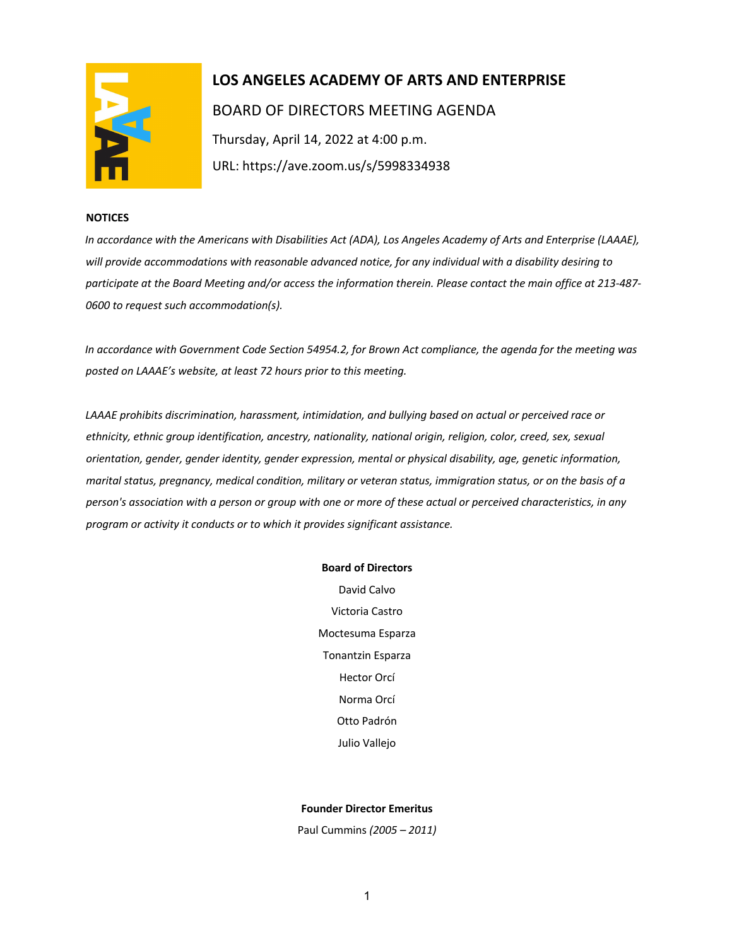

# **LOS ANGELES ACADEMY OF ARTS AND ENTERPRISE**  BOARD OF DIRECTORS MEETING AGENDA Thursday, April 14, 2022 at 4:00 p.m.

URL: https://ave.zoom.us/s/5998334938

## **NOTICES**

*In accordance with the Americans with Disabilities Act (ADA), Los Angeles Academy of Arts and Enterprise (LAAAE), will provide accommodations with reasonable advanced notice, for any individual with a disability desiring to participate at the Board Meeting and/or access the information therein. Please contact the main office at 213-487- 0600 to request such accommodation(s).* 

*In accordance with Government Code Section 54954.2, for Brown Act compliance, the agenda for the meeting was posted on LAAAE's website, at least 72 hours prior to this meeting.* 

*LAAAE prohibits discrimination, harassment, intimidation, and bullying based on actual or perceived race or ethnicity, ethnic group identification, ancestry, nationality, national origin, religion, color, creed, sex, sexual orientation, gender, gender identity, gender expression, mental or physical disability, age, genetic information, marital status, pregnancy, medical condition, military or veteran status, immigration status, or on the basis of a person's association with a person or group with one or more of these actual or perceived characteristics, in any program or activity it conducts or to which it provides significant assistance.* 

#### **Board of Directors**

David Calvo Victoria Castro Moctesuma Esparza Tonantzin Esparza Hector Orcí Norma Orcí Otto Padrón Julio Vallejo

## **Founder Director Emeritus**

Paul Cummins *(2005 – 2011)*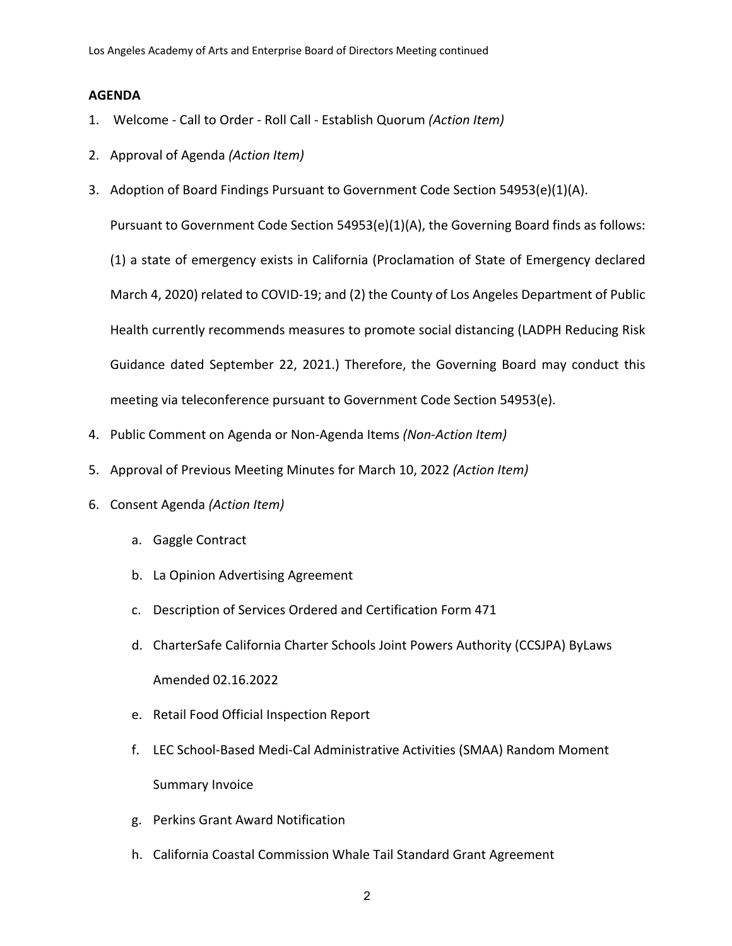# **AGENDA**

- 1. Welcome Call to Order Roll Call Establish Quorum *(Action Item)*
- 2. Approval of Agenda *(Action Item)*
- 3. Adoption of Board Findings Pursuant to Government Code Section 54953(e)(1)(A).

Pursuant to Government Code Section 54953(e)(1)(A), the Governing Board finds as follows:

(1) a state of emergency exists in California (Proclamation of State of Emergency declared March 4, 2020) related to COVID-19; and (2) the County of Los Angeles Department of Public Health currently recommends measures to promote social distancing (LADPH Reducing Risk Guidance dated September 22, 2021.) Therefore, the Governing Board may conduct this meeting via teleconference pursuant to Government Code Section 54953(e).

- 4. Public Comment on Agenda or Non-Agenda Items *(Non-Action Item)*
- 5. Approval of Previous Meeting Minutes for March 10, 2022 *(Action Item)*
- 6. Consent Agenda *(Action Item)*
	- a. Gaggle Contract
	- b. La Opinion Advertising Agreement
	- c. Description of Services Ordered and Certification Form 471
	- d. CharterSafe California Charter Schools Joint Powers Authority (CCSJPA) ByLaws Amended 02.16.2022
	- e. Retail Food Official Inspection Report
	- f. LEC School-Based Medi-Cal Administrative Activities (SMAA) Random Moment Summary Invoice
	- g. Perkins Grant Award Notification
	- h. California Coastal Commission Whale Tail Standard Grant Agreement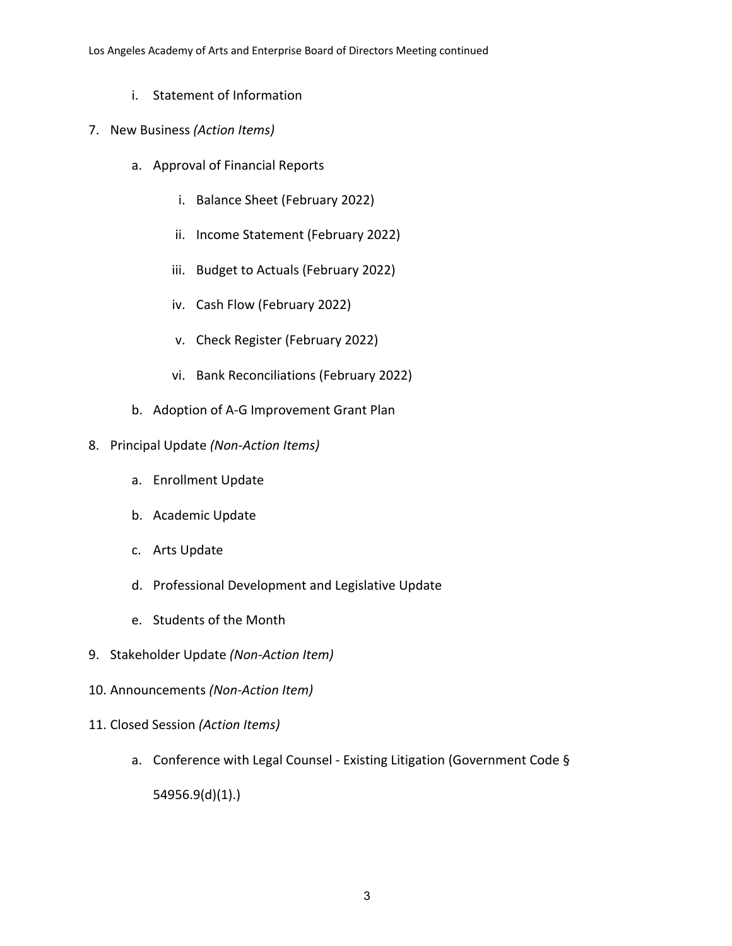- i. Statement of Information
- 7. New Business *(Action Items)*
	- a. Approval of Financial Reports
		- i. Balance Sheet (February 2022)
		- ii. Income Statement (February 2022)
		- iii. Budget to Actuals (February 2022)
		- iv. Cash Flow (February 2022)
		- v. Check Register (February 2022)
		- vi. Bank Reconciliations (February 2022)
	- b. Adoption of A-G Improvement Grant Plan
- 8. Principal Update *(Non-Action Items)*
	- a. Enrollment Update
	- b. Academic Update
	- c. Arts Update
	- d. Professional Development and Legislative Update
	- e. Students of the Month
- 9. Stakeholder Update *(Non-Action Item)*
- 10. Announcements *(Non-Action Item)*
- 11. Closed Session *(Action Items)*
	- a. Conference with Legal Counsel Existing Litigation (Government Code §

54956.9(d)(1).)